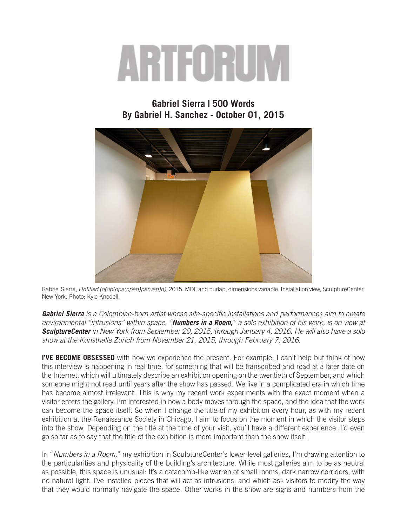## ARTEORUM

## **Gabriel Sierra | 500 Words By Gabriel H. Sanchez - October 01, 2015**



Gabriel Sierra, *Untitled (o(op(ope(open)pen)en)n),* 2015, MDF and burlap, dimensions variable. Installation view, SculptureCenter, New York. Photo: Kyle Knodell.

*Gabriel Sierra is a Colombian-born artist whose site-specific installations and performances aim to create environmental "intrusions" within space. "Numbers in a Room," a solo exhibition of his work, is on view at SculptureCenter in New York from September 20, 2015, through January 4, 2016. He will also have a solo show at the Kunsthalle Zurich from November 21, 2015, through February 7, 2016.*

**I'VE BECOME OBSESSED** with how we experience the present. For example, I can't help but think of how this interview is happening in real time, for something that will be transcribed and read at a later date on the Internet, which will ultimately describe an exhibition opening on the twentieth of September, and which someone might not read until years after the show has passed. We live in a complicated era in which time has become almost irrelevant. This is why my recent work experiments with the exact moment when a visitor enters the gallery. I'm interested in how a body moves through the space, and the idea that the work can become the space itself. So when I change the title of my exhibition every hour, as with my recent exhibition at the Renaissance Society in Chicago, I aim to focus on the moment in which the visitor steps into the show. Depending on the title at the time of your visit, you'll have a different experience. I'd even go so far as to say that the title of the exhibition is more important than the show itself.

In "*Numbers in a Room,*" my exhibition in SculptureCenter's lower-level galleries, I'm drawing attention to the particularities and physicality of the building's architecture. While most galleries aim to be as neutral as possible, this space is unusual: It's a catacomb-like warren of small rooms, dark narrow corridors, with no natural light. I've installed pieces that will act as intrusions, and which ask visitors to modify the way that they would normally navigate the space. Other works in the show are signs and numbers from the